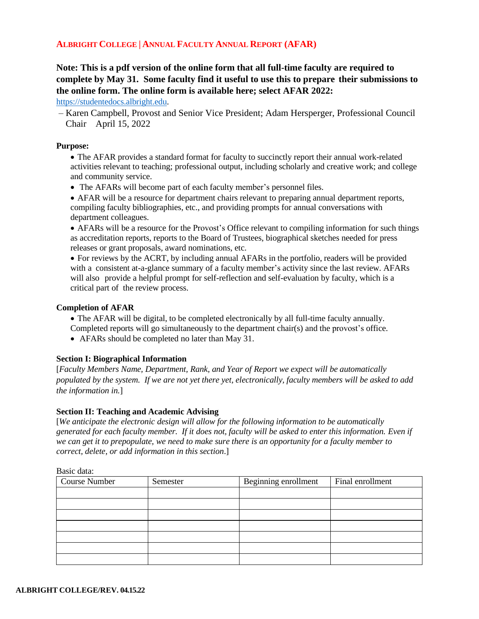## **ALBRIGHT COLLEGE | ANNUAL FACULTY ANNUAL REPORT (AFAR)**

# **Note: This is a pdf version of the online form that all full-time faculty are required to complete by May 31. Some faculty find it useful to use this to prepare their submissions to the online form. The online form is available here; select AFAR 2022:**

[https://studentedocs.albright.edu.](https://studentedocs.albright.edu/)

– Karen Campbell, Provost and Senior Vice President; Adam Hersperger, Professional Council Chair April 15, 2022

#### **Purpose:**

• The AFAR provides a standard format for faculty to succinctly report their annual work-related activities relevant to teaching; professional output, including scholarly and creative work; and college and community service.

• The AFARs will become part of each faculty member's personnel files.

• AFAR will be a resource for department chairs relevant to preparing annual department reports, compiling faculty bibliographies, etc., and providing prompts for annual conversations with department colleagues.

• AFARs will be a resource for the Provost's Office relevant to compiling information for such things as accreditation reports, reports to the Board of Trustees, biographical sketches needed for press releases or grant proposals, award nominations, etc.

• For reviews by the ACRT, by including annual AFARs in the portfolio, readers will be provided with a consistent at-a-glance summary of a faculty member's activity since the last review. AFARs will also provide a helpful prompt for self-reflection and self-evaluation by faculty, which is a critical part of the review process.

#### **Completion of AFAR**

- The AFAR will be digital, to be completed electronically by all full-time faculty annually.
- Completed reports will go simultaneously to the department chair(s) and the provost's office.
- AFARs should be completed no later than May 31.

### **Section I: Biographical Information**

[*Faculty Members Name, Department, Rank, and Year of Report we expect will be automatically populated by the system. If we are not yet there yet, electronically, faculty members will be asked to add the information in.*]

#### **Section II: Teaching and Academic Advising**

[*We anticipate the electronic design will allow for the following information to be automatically* generated for each faculty member. If it does not, faculty will be asked to enter this information. Even if *we can get it to prepopulate, we need to make sure there is an opportunity for a faculty member to correct, delete, or add information in this section*.]

| Dasiy yata.          |          |                      |                  |  |
|----------------------|----------|----------------------|------------------|--|
| <b>Course Number</b> | Semester | Beginning enrollment | Final enrollment |  |
|                      |          |                      |                  |  |
|                      |          |                      |                  |  |
|                      |          |                      |                  |  |
|                      |          |                      |                  |  |
|                      |          |                      |                  |  |
|                      |          |                      |                  |  |
|                      |          |                      |                  |  |